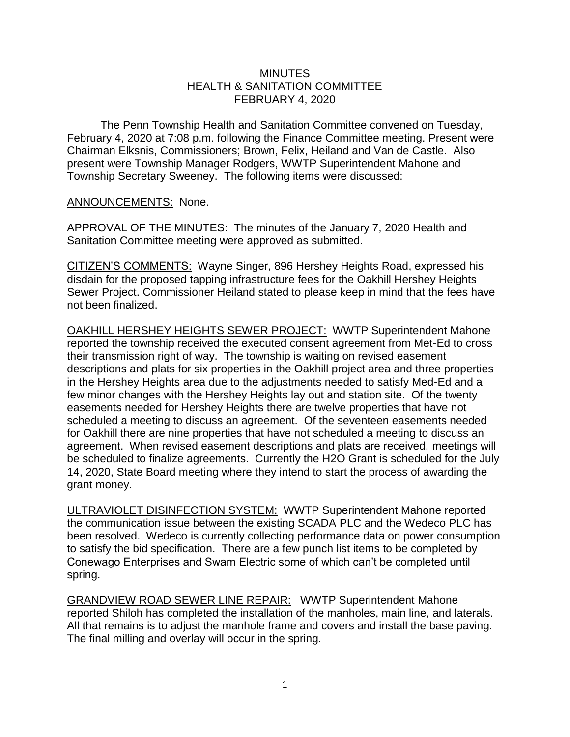## **MINUTES** HEALTH & SANITATION COMMITTEE FEBRUARY 4, 2020

The Penn Township Health and Sanitation Committee convened on Tuesday, February 4, 2020 at 7:08 p.m. following the Finance Committee meeting. Present were Chairman Elksnis, Commissioners; Brown, Felix, Heiland and Van de Castle. Also present were Township Manager Rodgers, WWTP Superintendent Mahone and Township Secretary Sweeney. The following items were discussed:

## ANNOUNCEMENTS: None.

APPROVAL OF THE MINUTES: The minutes of the January 7, 2020 Health and Sanitation Committee meeting were approved as submitted.

CITIZEN'S COMMENTS: Wayne Singer, 896 Hershey Heights Road, expressed his disdain for the proposed tapping infrastructure fees for the Oakhill Hershey Heights Sewer Project. Commissioner Heiland stated to please keep in mind that the fees have not been finalized.

OAKHILL HERSHEY HEIGHTS SEWER PROJECT: WWTP Superintendent Mahone reported the township received the executed consent agreement from Met-Ed to cross their transmission right of way. The township is waiting on revised easement descriptions and plats for six properties in the Oakhill project area and three properties in the Hershey Heights area due to the adjustments needed to satisfy Med-Ed and a few minor changes with the Hershey Heights lay out and station site. Of the twenty easements needed for Hershey Heights there are twelve properties that have not scheduled a meeting to discuss an agreement. Of the seventeen easements needed for Oakhill there are nine properties that have not scheduled a meeting to discuss an agreement. When revised easement descriptions and plats are received, meetings will be scheduled to finalize agreements. Currently the H2O Grant is scheduled for the July 14, 2020, State Board meeting where they intend to start the process of awarding the grant money.

ULTRAVIOLET DISINFECTION SYSTEM: WWTP Superintendent Mahone reported the communication issue between the existing SCADA PLC and the Wedeco PLC has been resolved. Wedeco is currently collecting performance data on power consumption to satisfy the bid specification. There are a few punch list items to be completed by Conewago Enterprises and Swam Electric some of which can't be completed until spring.

GRANDVIEW ROAD SEWER LINE REPAIR: WWTP Superintendent Mahone reported Shiloh has completed the installation of the manholes, main line, and laterals. All that remains is to adjust the manhole frame and covers and install the base paving. The final milling and overlay will occur in the spring.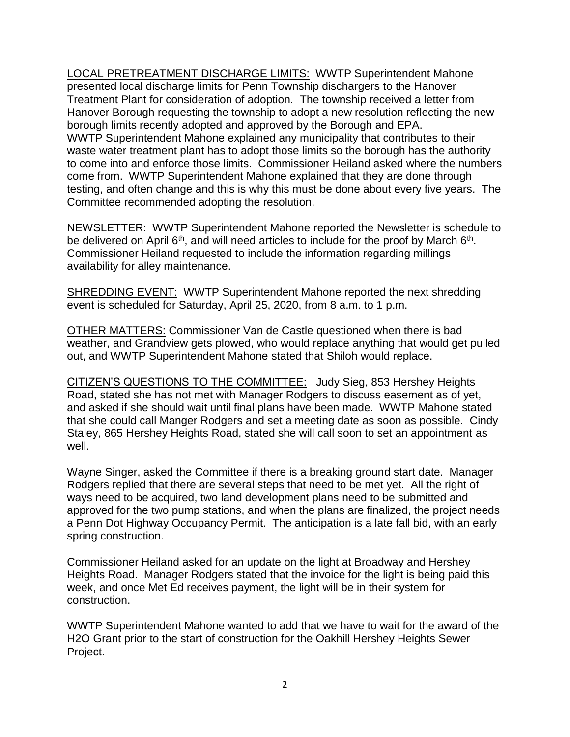LOCAL PRETREATMENT DISCHARGE LIMITS: WWTP Superintendent Mahone presented local discharge limits for Penn Township dischargers to the Hanover Treatment Plant for consideration of adoption. The township received a letter from Hanover Borough requesting the township to adopt a new resolution reflecting the new borough limits recently adopted and approved by the Borough and EPA. WWTP Superintendent Mahone explained any municipality that contributes to their waste water treatment plant has to adopt those limits so the borough has the authority to come into and enforce those limits. Commissioner Heiland asked where the numbers come from. WWTP Superintendent Mahone explained that they are done through testing, and often change and this is why this must be done about every five years. The Committee recommended adopting the resolution.

NEWSLETTER: WWTP Superintendent Mahone reported the Newsletter is schedule to be delivered on April  $6<sup>th</sup>$ , and will need articles to include for the proof by March  $6<sup>th</sup>$ . Commissioner Heiland requested to include the information regarding millings availability for alley maintenance.

SHREDDING EVENT: WWTP Superintendent Mahone reported the next shredding event is scheduled for Saturday, April 25, 2020, from 8 a.m. to 1 p.m.

OTHER MATTERS: Commissioner Van de Castle questioned when there is bad weather, and Grandview gets plowed, who would replace anything that would get pulled out, and WWTP Superintendent Mahone stated that Shiloh would replace.

CITIZEN'S QUESTIONS TO THE COMMITTEE: Judy Sieg, 853 Hershey Heights Road, stated she has not met with Manager Rodgers to discuss easement as of yet, and asked if she should wait until final plans have been made. WWTP Mahone stated that she could call Manger Rodgers and set a meeting date as soon as possible. Cindy Staley, 865 Hershey Heights Road, stated she will call soon to set an appointment as well.

Wayne Singer, asked the Committee if there is a breaking ground start date. Manager Rodgers replied that there are several steps that need to be met yet. All the right of ways need to be acquired, two land development plans need to be submitted and approved for the two pump stations, and when the plans are finalized, the project needs a Penn Dot Highway Occupancy Permit. The anticipation is a late fall bid, with an early spring construction.

Commissioner Heiland asked for an update on the light at Broadway and Hershey Heights Road. Manager Rodgers stated that the invoice for the light is being paid this week, and once Met Ed receives payment, the light will be in their system for construction.

WWTP Superintendent Mahone wanted to add that we have to wait for the award of the H2O Grant prior to the start of construction for the Oakhill Hershey Heights Sewer Project.